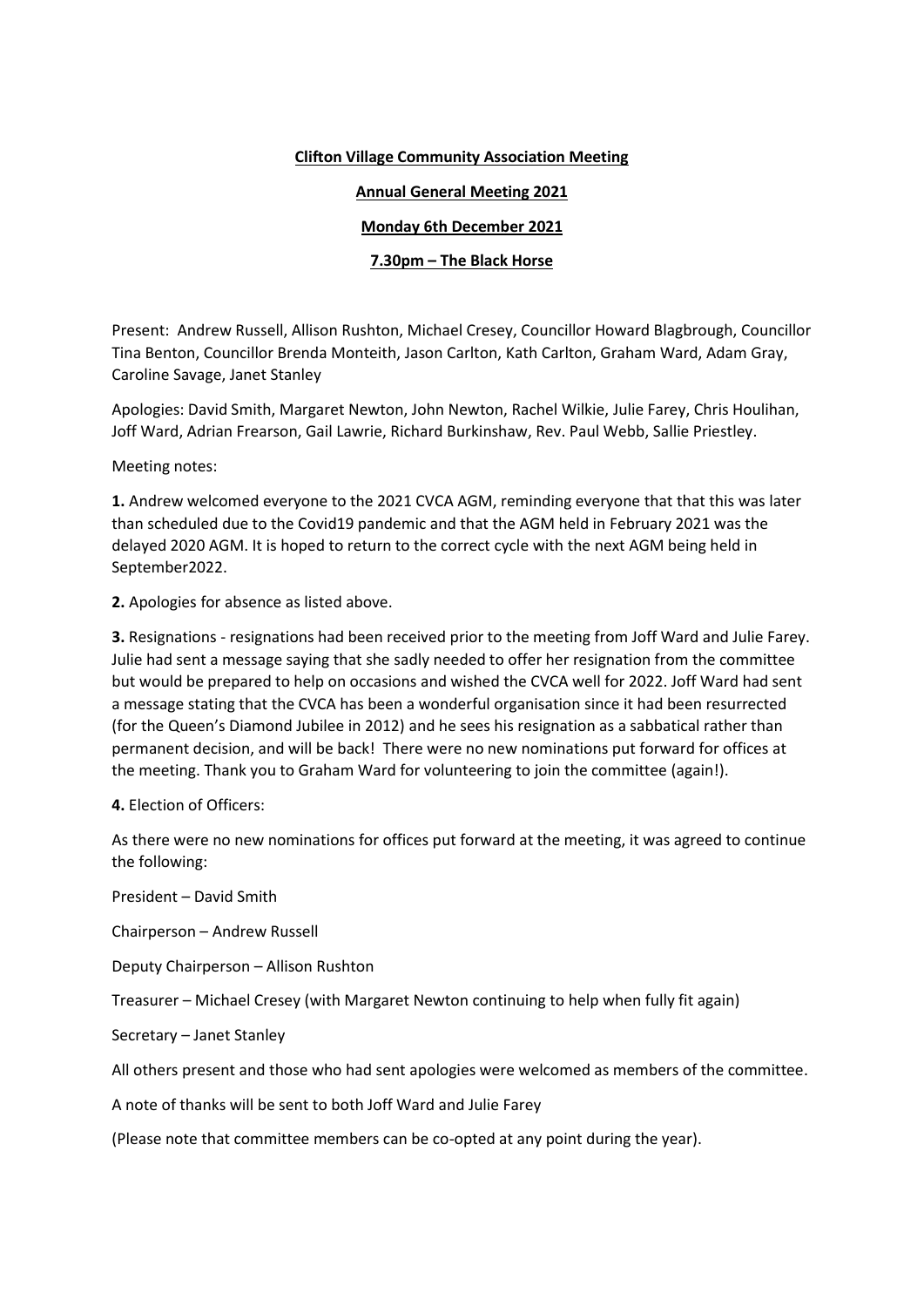## **Clifton Village Community Association Meeting**

## **Annual General Meeting 2021**

## **Monday 6th December 2021**

## **7.30pm – The Black Horse**

Present: Andrew Russell, Allison Rushton, Michael Cresey, Councillor Howard Blagbrough, Councillor Tina Benton, Councillor Brenda Monteith, Jason Carlton, Kath Carlton, Graham Ward, Adam Gray, Caroline Savage, Janet Stanley

Apologies: David Smith, Margaret Newton, John Newton, Rachel Wilkie, Julie Farey, Chris Houlihan, Joff Ward, Adrian Frearson, Gail Lawrie, Richard Burkinshaw, Rev. Paul Webb, Sallie Priestley.

Meeting notes:

**1.** Andrew welcomed everyone to the 2021 CVCA AGM, reminding everyone that that this was later than scheduled due to the Covid19 pandemic and that the AGM held in February 2021 was the delayed 2020 AGM. It is hoped to return to the correct cycle with the next AGM being held in September2022.

**2.** Apologies for absence as listed above.

**3.** Resignations - resignations had been received prior to the meeting from Joff Ward and Julie Farey. Julie had sent a message saying that she sadly needed to offer her resignation from the committee but would be prepared to help on occasions and wished the CVCA well for 2022. Joff Ward had sent a message stating that the CVCA has been a wonderful organisation since it had been resurrected (for the Queen's Diamond Jubilee in 2012) and he sees his resignation as a sabbatical rather than permanent decision, and will be back! There were no new nominations put forward for offices at the meeting. Thank you to Graham Ward for volunteering to join the committee (again!).

**4.** Election of Officers:

As there were no new nominations for offices put forward at the meeting, it was agreed to continue the following:

President – David Smith

Chairperson – Andrew Russell

Deputy Chairperson – Allison Rushton

Treasurer – Michael Cresey (with Margaret Newton continuing to help when fully fit again)

Secretary – Janet Stanley

All others present and those who had sent apologies were welcomed as members of the committee.

A note of thanks will be sent to both Joff Ward and Julie Farey

(Please note that committee members can be co-opted at any point during the year).